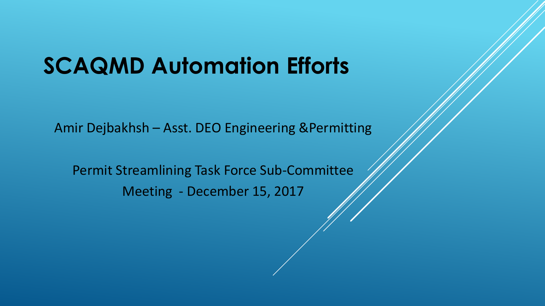# **SCAQMD Automation Efforts**

Amir Dejbakhsh – Asst. DEO Engineering &Permitting

Permit Streamlining Task Force Sub-Committee Meeting - December 15, 2017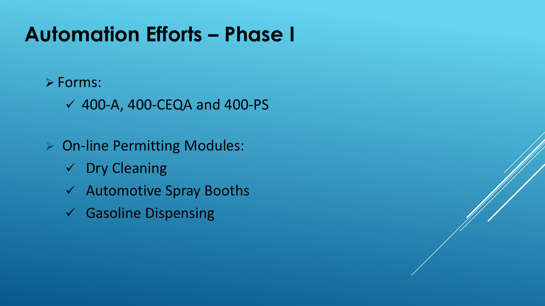# **Automation Efforts – Phase I**

#### $\triangleright$  Forms:

- $\checkmark$  400-A, 400-CEQA and 400-PS
- **▶ On-line Permitting Modules:** 
	- $\checkmark$  Dry Cleaning
	- Automotive Spray Booths
	- $\checkmark$  Gasoline Dispensing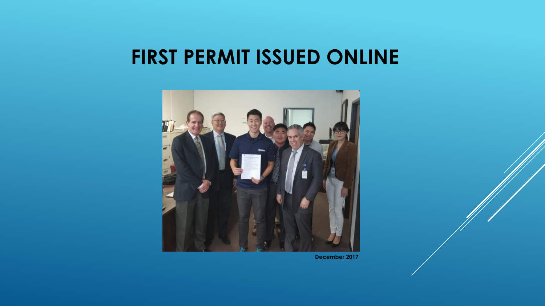#### **FIRST PERMIT ISSUED ONLINE**



**December 2017**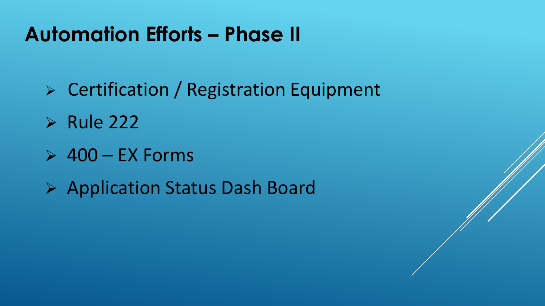## **Automation Efforts – Phase II**

- Certification / Registration Equipment
- $\triangleright$  Rule 222
- $> 400 EX$  Forms
- Application Status Dash Board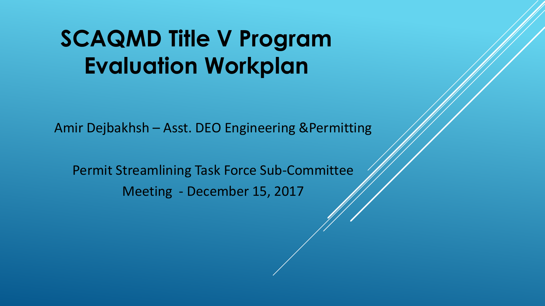# **SCAQMD Title V Program Evaluation Workplan**

Amir Dejbakhsh – Asst. DEO Engineering &Permitting

Permit Streamlining Task Force Sub-Committee Meeting - December 15, 2017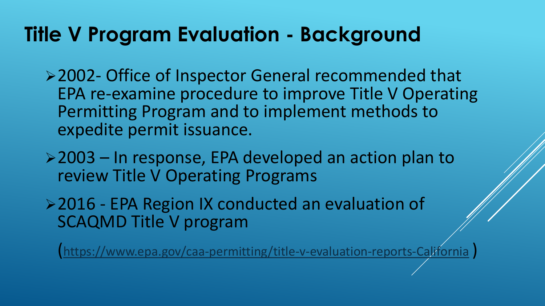#### **Title V Program Evaluation - Background**

2002- Office of Inspector General recommended that EPA re-examine procedure to improve Title V Operating Permitting Program and to implement methods to expedite permit issuance.

2003 – In response, EPA developed an action plan to review Title V Operating Programs

▶ 2016 - EPA Region IX conducted an evaluation of SCAQMD Title V program

(<https://www.epa.gov/caa-permitting/title-v-evaluation-reports-California> )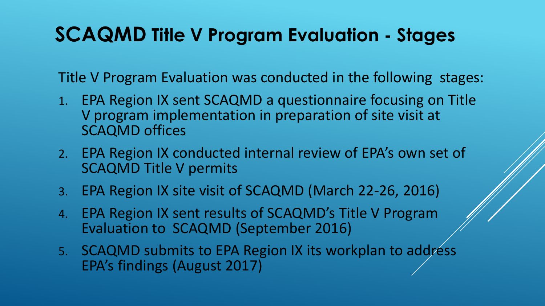#### **SCAQMD Title V Program Evaluation - Stages**

Title V Program Evaluation was conducted in the following stages:

- 1. EPA Region IX sent SCAQMD a questionnaire focusing on Title V program implementation in preparation of site visit at SCAQMD offices
- 2. EPA Region IX conducted internal review of EPA's own set of SCAQMD Title V permits
- 3. EPA Region IX site visit of SCAQMD (March 22-26, 2016)
- 4. EPA Region IX sent results of SCAQMD's Title V Program Evaluation to SCAQMD (September 2016)
- 5. SCAQMD submits to EPA Region IX its workplan to address EPA's findings (August 2017)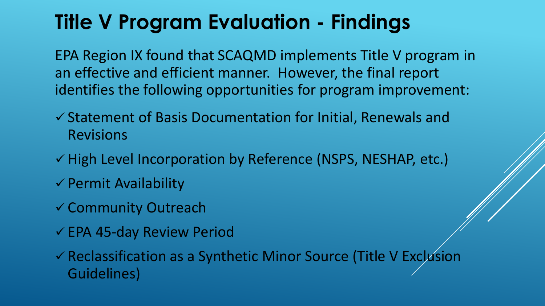# **Title V Program Evaluation - Findings**

EPA Region IX found that SCAQMD implements Title V program in an effective and efficient manner. However, the final report identifies the following opportunities for program improvement:

- $\checkmark$  Statement of Basis Documentation for Initial, Renewals and Revisions
- v High Level Incorporation by Reference (NSPS, NESHAP, etc.)
- $\checkmark$  Permit Availability
- Community Outreach
- EPA 45-day Review Period

 Reclassification as a Synthetic Minor Source (Title V Exclusion Guidelines)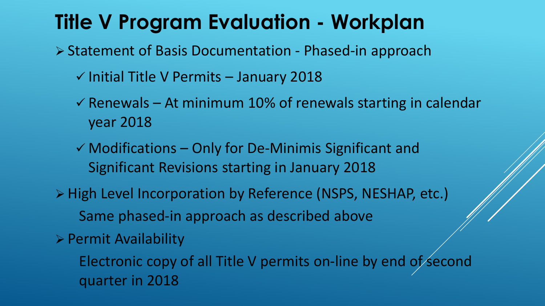### **Title V Program Evaluation - Workplan**

▶ Statement of Basis Documentation - Phased-in approach

- $\checkmark$  Initial Title V Permits January 2018
- $\checkmark$  Renewals At minimum 10% of renewals starting in calendar year 2018
- $\checkmark$  Modifications Only for De-Minimis Significant and Significant Revisions starting in January 2018
- > High Level Incorporation by Reference (NSPS, NESHAP, etc.) Same phased-in approach as described above
- $\triangleright$  Permit Availability
	- Electronic copy of all Title V permits on-line by end of second quarter in 2018